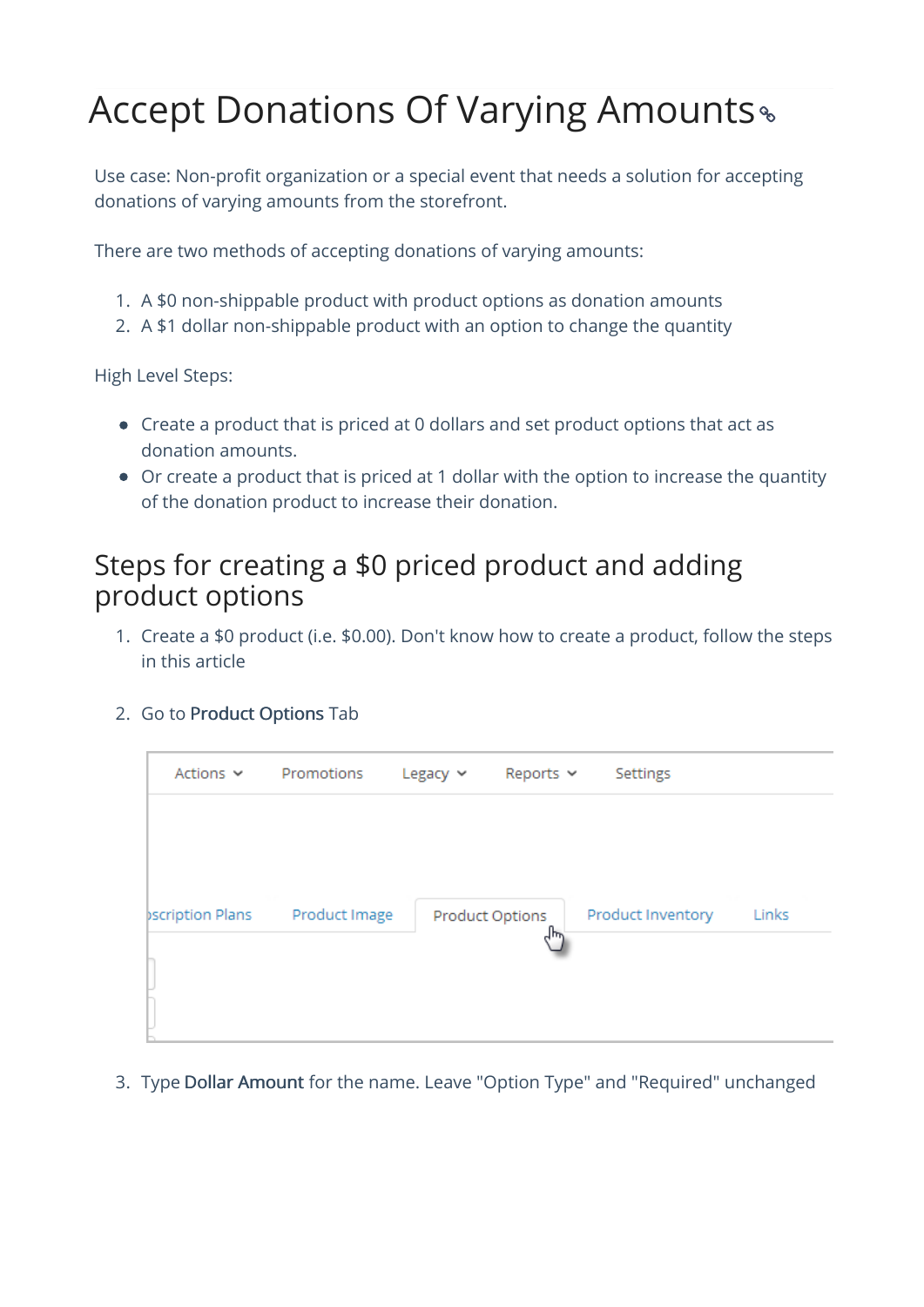# Accept Donations Of Varying Amounts

Use case: Non-profit organization or a special event that needs a solution for accepting donations of varying amounts from the storefront.

There are two methods of accepting donations of varying amounts:

- 1. A \$0 non-shippable product with product options as donation amounts
- 2. A \$1 dollar non-shippable product with an option to change the quantity

High Level Steps:

- Create a product that is priced at 0 dollars and set product options that act as donation amounts.
- Or create a product that is priced at 1 dollar with the option to increase the quantity of the donation product to increase their donation.

### Steps for creating a \$0 priced product and adding product options

- 1. Create a \$0 product (i.e. \$0.00). Don't know how to create a product, follow the steps in this article
- 2. Go to Product Options Tab

| Actions $\sim$          | Promotions    | Legacy $\sim$ | Reports $\sim$  | Settings          |       |
|-------------------------|---------------|---------------|-----------------|-------------------|-------|
| <b>pscription Plans</b> | Product Image |               | Product Options | Product Inventory | Links |
|                         |               |               |                 |                   |       |

3. Type Dollar Amount for the name. Leave "Option Type" and "Required" unchanged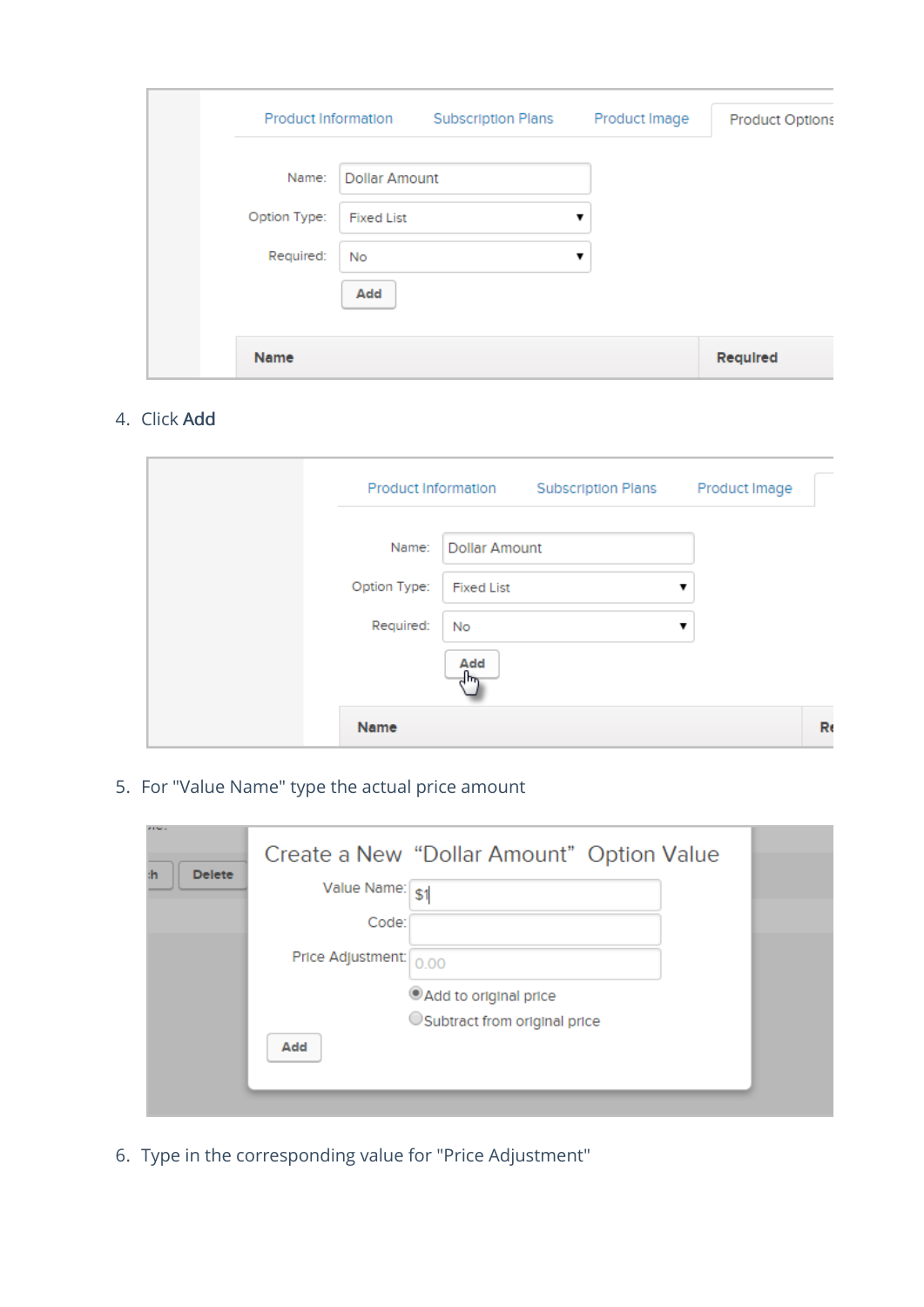| Product Information |                      | <b>Subscription Plans</b> | Product Image | <b>Product Options</b> |
|---------------------|----------------------|---------------------------|---------------|------------------------|
| Name:               | <b>Dollar Amount</b> |                           |               |                        |
| Option Type:        | <b>Fixed List</b>    |                           |               |                        |
| Required:           | No                   |                           |               |                        |
|                     | Add                  |                           |               |                        |
|                     |                      |                           |               |                        |
| Name                |                      |                           |               | Required               |

#### 4. Click Add

|              | Product Information  | <b>Subscription Plans</b> | Product Image |
|--------------|----------------------|---------------------------|---------------|
| Name:        | <b>Dollar Amount</b> |                           |               |
| Option Type: | <b>Fixed List</b>    |                           | ▼             |
| Required:    | No                   |                           | v             |
|              | Add<br>╣┡╦           |                           |               |
| Name         |                      |                           | Ro            |

5. For "Value Name" type the actual price amount

| <b>STATISTICS</b><br><b>Delete</b><br>۱h |                          | Create a New "Dollar Amount" Option Value              |  |
|------------------------------------------|--------------------------|--------------------------------------------------------|--|
|                                          | Value Name: \$1<br>Code: |                                                        |  |
|                                          | Price Adjustment: 0.00   |                                                        |  |
|                                          | Add                      | Add to original price<br>OSubtract from original price |  |

6. Type in the corresponding value for "Price Adjustment"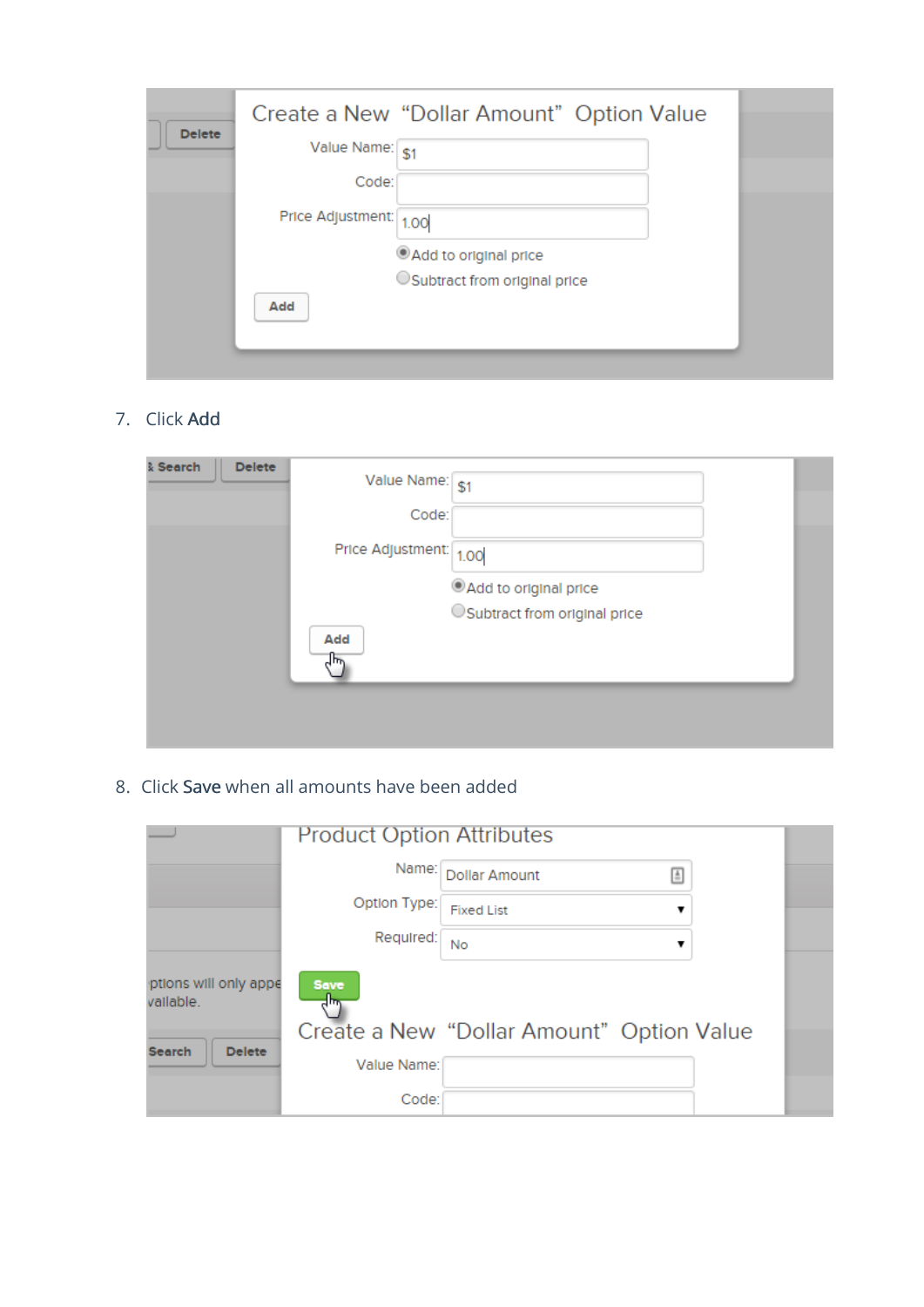| <b>Delete</b> |                   | Create a New "Dollar Amount" Option Value |  |
|---------------|-------------------|-------------------------------------------|--|
|               | Value Name: \$1   |                                           |  |
|               | Code:             |                                           |  |
|               | Price Adjustment: | 1.00                                      |  |
|               |                   | Add to original price                     |  |
|               |                   | OSubtract from original price             |  |
|               | Add               |                                           |  |
|               |                   |                                           |  |

#### 7. Click Add

| <b>Delete</b><br>& Search | Value Name: \$1        |                               |  |
|---------------------------|------------------------|-------------------------------|--|
|                           | Code:                  |                               |  |
|                           | Price Adjustment: 1.00 |                               |  |
|                           |                        | Add to original price         |  |
|                           | Add                    | OSubtract from original price |  |
|                           |                        |                               |  |

#### 8. Click Save when all amounts have been added

|                                    | <b>Product Option Attributes</b> |                                           |   |
|------------------------------------|----------------------------------|-------------------------------------------|---|
|                                    | Name:                            | <b>Dollar Amount</b>                      | 国 |
|                                    | Option Type:                     | <b>Fixed List</b>                         |   |
|                                    | Required:                        | <b>No</b>                                 |   |
| ptions will only appe<br>vallable. | Save<br>$4\mu$                   |                                           |   |
|                                    |                                  | Create a New "Dollar Amount" Option Value |   |
| <b>Search</b><br><b>Delete</b>     | Value Name:                      |                                           |   |
|                                    | Code:                            |                                           |   |